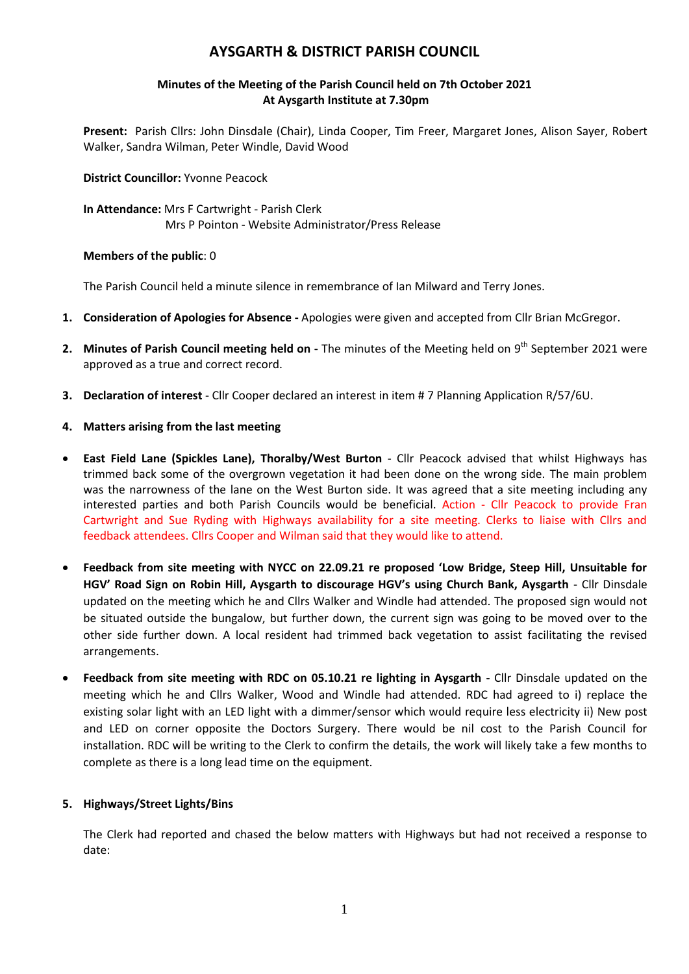## **AYSGARTH & DISTRICT PARISH COUNCIL**

### **Minutes of the Meeting of the Parish Council held on 7th October 2021 At Aysgarth Institute at 7.30pm**

**Present:** Parish Cllrs: John Dinsdale (Chair), Linda Cooper, Tim Freer, Margaret Jones, Alison Sayer, Robert Walker, Sandra Wilman, Peter Windle, David Wood

#### **District Councillor:** Yvonne Peacock

**In Attendance:** Mrs F Cartwright - Parish Clerk Mrs P Pointon - Website Administrator/Press Release

#### **Members of the public**: 0

The Parish Council held a minute silence in remembrance of Ian Milward and Terry Jones.

- **1. Consideration of Apologies for Absence -** Apologies were given and accepted from Cllr Brian McGregor.
- 2. Minutes of Parish Council meeting held on The minutes of the Meeting held on 9<sup>th</sup> September 2021 were approved as a true and correct record.
- **3. Declaration of interest** Cllr Cooper declared an interest in item # 7 Planning Application R/57/6U.

#### **4. Matters arising from the last meeting**

- **East Field Lane (Spickles Lane), Thoralby/West Burton** Cllr Peacock advised that whilst Highways has trimmed back some of the overgrown vegetation it had been done on the wrong side. The main problem was the narrowness of the lane on the West Burton side. It was agreed that a site meeting including any interested parties and both Parish Councils would be beneficial. Action - Cllr Peacock to provide Fran Cartwright and Sue Ryding with Highways availability for a site meeting. Clerks to liaise with Cllrs and feedback attendees. Cllrs Cooper and Wilman said that they would like to attend.
- **Feedback from site meeting with NYCC on 22.09.21 re proposed 'Low Bridge, Steep Hill, Unsuitable for HGV' Road Sign on Robin Hill, Aysgarth to discourage HGV's using Church Bank, Aysgarth** - Cllr Dinsdale updated on the meeting which he and Cllrs Walker and Windle had attended. The proposed sign would not be situated outside the bungalow, but further down, the current sign was going to be moved over to the other side further down. A local resident had trimmed back vegetation to assist facilitating the revised arrangements.
- **Feedback from site meeting with RDC on 05.10.21 re lighting in Aysgarth -** Cllr Dinsdale updated on the meeting which he and Cllrs Walker, Wood and Windle had attended. RDC had agreed to i) replace the existing solar light with an LED light with a dimmer/sensor which would require less electricity ii) New post and LED on corner opposite the Doctors Surgery. There would be nil cost to the Parish Council for installation. RDC will be writing to the Clerk to confirm the details, the work will likely take a few months to complete as there is a long lead time on the equipment.

## **5. Highways/Street Lights/Bins**

The Clerk had reported and chased the below matters with Highways but had not received a response to date: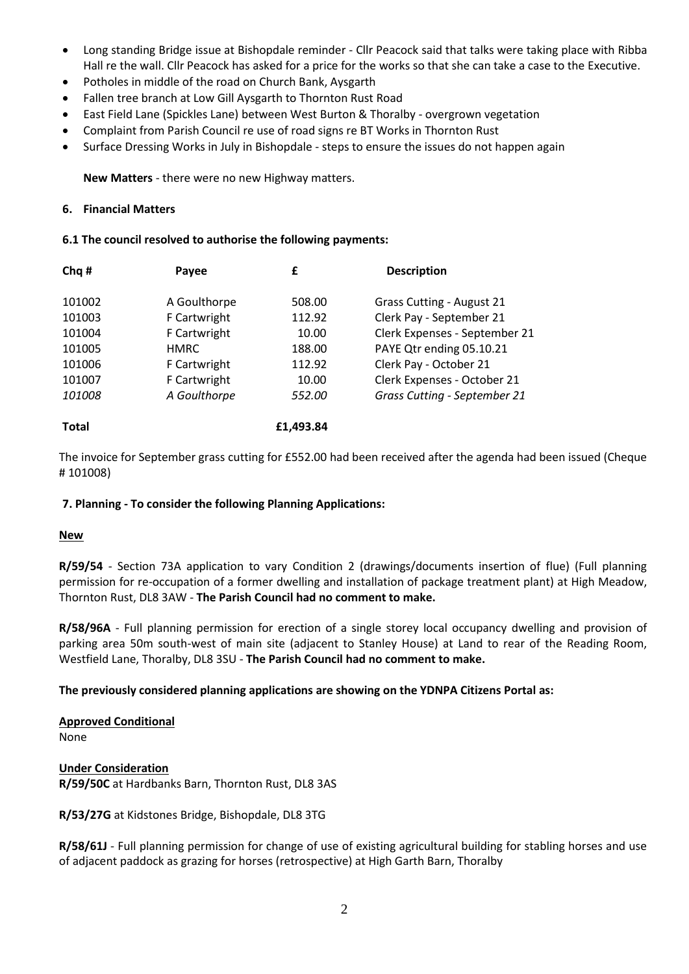- Long standing Bridge issue at Bishopdale reminder Cllr Peacock said that talks were taking place with Ribba Hall re the wall. Cllr Peacock has asked for a price for the works so that she can take a case to the Executive.
- Potholes in middle of the road on Church Bank, Aysgarth
- Fallen tree branch at Low Gill Aysgarth to Thornton Rust Road
- East Field Lane (Spickles Lane) between West Burton & Thoralby overgrown vegetation
- Complaint from Parish Council re use of road signs re BT Works in Thornton Rust
- Surface Dressing Works in July in Bishopdale steps to ensure the issues do not happen again

**New Matters** - there were no new Highway matters.

#### **6. Financial Matters**

#### **6.1 The council resolved to authorise the following payments:**

| Chq #        | Payee        | £         | <b>Description</b>               |
|--------------|--------------|-----------|----------------------------------|
| 101002       | A Goulthorpe | 508.00    | <b>Grass Cutting - August 21</b> |
| 101003       | F Cartwright | 112.92    | Clerk Pay - September 21         |
| 101004       | F Cartwright | 10.00     | Clerk Expenses - September 21    |
| 101005       | <b>HMRC</b>  | 188.00    | PAYE Qtr ending 05.10.21         |
| 101006       | F Cartwright | 112.92    | Clerk Pay - October 21           |
| 101007       | F Cartwright | 10.00     | Clerk Expenses - October 21      |
| 101008       | A Goulthorpe | 552.00    | Grass Cutting - September 21     |
|              |              |           |                                  |
| <b>Total</b> |              | £1,493.84 |                                  |

The invoice for September grass cutting for £552.00 had been received after the agenda had been issued (Cheque # 101008)

## **7. Planning - To consider the following Planning Applications:**

## **New**

**R/59/54** - Section 73A application to vary Condition 2 (drawings/documents insertion of flue) (Full planning permission for re-occupation of a former dwelling and installation of package treatment plant) at High Meadow, Thornton Rust, DL8 3AW - **The Parish Council had no comment to make.**

**R/58/96A** - Full planning permission for erection of a single storey local occupancy dwelling and provision of parking area 50m south-west of main site (adjacent to Stanley House) at Land to rear of the Reading Room, Westfield Lane, Thoralby, DL8 3SU - **The Parish Council had no comment to make.**

## **The previously considered planning applications are showing on the YDNPA Citizens Portal as:**

# **Approved Conditional**

None

**Under Consideration R/59/50C** at Hardbanks Barn, Thornton Rust, DL8 3AS

**R/53/27G** at Kidstones Bridge, Bishopdale, DL8 3TG

**R/58/61J** - Full planning permission for change of use of existing agricultural building for stabling horses and use of adjacent paddock as grazing for horses (retrospective) at High Garth Barn, Thoralby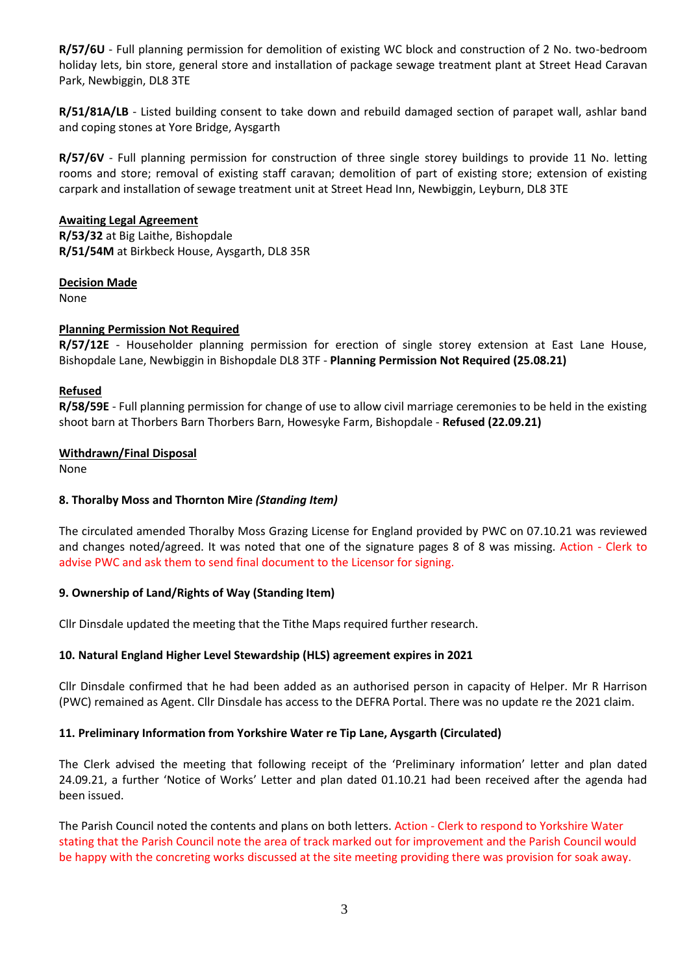**R/57/6U** - Full planning permission for demolition of existing WC block and construction of 2 No. two-bedroom holiday lets, bin store, general store and installation of package sewage treatment plant at Street Head Caravan Park, Newbiggin, DL8 3TE

**R/51/81A/LB** - Listed building consent to take down and rebuild damaged section of parapet wall, ashlar band and coping stones at Yore Bridge, Aysgarth

**R/57/6V** - Full planning permission for construction of three single storey buildings to provide 11 No. letting rooms and store; removal of existing staff caravan; demolition of part of existing store; extension of existing carpark and installation of sewage treatment unit at Street Head Inn, Newbiggin, Leyburn, DL8 3TE

#### **Awaiting Legal Agreement**

**R/53/32** at Big Laithe, Bishopdale **R/51/54M** at Birkbeck House, Aysgarth, DL8 35R

#### **Decision Made**

None

#### **Planning Permission Not Required**

**R/57/12E** - Householder planning permission for erection of single storey extension at East Lane House, Bishopdale Lane, Newbiggin in Bishopdale DL8 3TF - **Planning Permission Not Required (25.08.21)**

#### **Refused**

**R/58/59E** - Full planning permission for change of use to allow civil marriage ceremonies to be held in the existing shoot barn at Thorbers Barn Thorbers Barn, Howesyke Farm, Bishopdale - **Refused (22.09.21)**

#### **Withdrawn/Final Disposal**

None

#### **8. Thoralby Moss and Thornton Mire** *(Standing Item)*

The circulated amended Thoralby Moss Grazing License for England provided by PWC on 07.10.21 was reviewed and changes noted/agreed. It was noted that one of the signature pages 8 of 8 was missing. Action - Clerk to advise PWC and ask them to send final document to the Licensor for signing.

## **9. Ownership of Land/Rights of Way (Standing Item)**

Cllr Dinsdale updated the meeting that the Tithe Maps required further research.

## **10. Natural England Higher Level Stewardship (HLS) agreement expires in 2021**

Cllr Dinsdale confirmed that he had been added as an authorised person in capacity of Helper. Mr R Harrison (PWC) remained as Agent. Cllr Dinsdale has access to the DEFRA Portal. There was no update re the 2021 claim.

#### **11. Preliminary Information from Yorkshire Water re Tip Lane, Aysgarth (Circulated)**

The Clerk advised the meeting that following receipt of the 'Preliminary information' letter and plan dated 24.09.21, a further 'Notice of Works' Letter and plan dated 01.10.21 had been received after the agenda had been issued.

The Parish Council noted the contents and plans on both letters. Action - Clerk to respond to Yorkshire Water stating that the Parish Council note the area of track marked out for improvement and the Parish Council would be happy with the concreting works discussed at the site meeting providing there was provision for soak away.